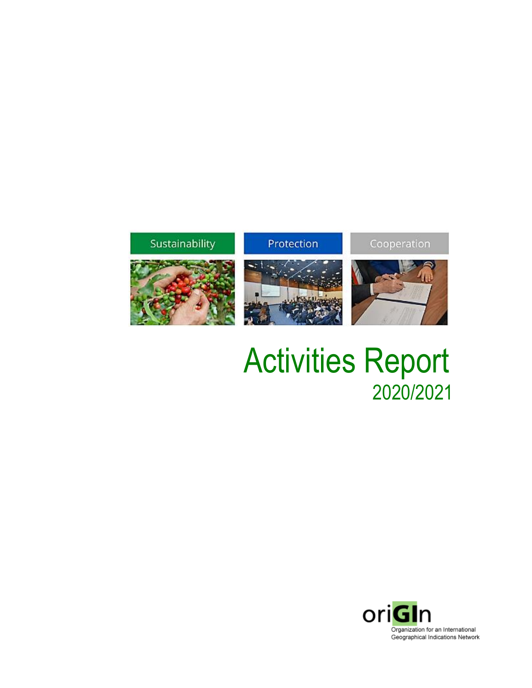# Sustainability

## Protection

Cooperation







Activities Report 2020/2021

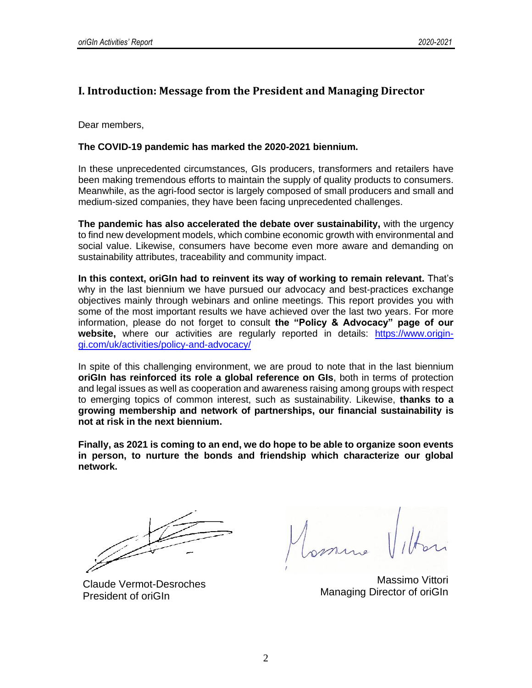### **I. Introduction: Message from the President and Managing Director**

Dear members,

#### **The COVID-19 pandemic has marked the 2020-2021 biennium.**

In these unprecedented circumstances, GIs producers, transformers and retailers have been making tremendous efforts to maintain the supply of quality products to consumers. Meanwhile, as the agri-food sector is largely composed of small producers and small and medium-sized companies, they have been facing unprecedented challenges.

**The pandemic has also accelerated the debate over sustainability,** with the urgency to find new development models, which combine economic growth with environmental and social value. Likewise, consumers have become even more aware and demanding on sustainability attributes, traceability and community impact.

**In this context, oriGIn had to reinvent its way of working to remain relevant.** That's why in the last biennium we have pursued our advocacy and best-practices exchange objectives mainly through webinars and online meetings. This report provides you with some of the most important results we have achieved over the last two years. For more information, please do not forget to consult **the "Policy & Advocacy" page of our website,** where our activities are regularly reported in details: [https://www.origin](https://www.origin-gi.com/uk/activities/policy-and-advocacy/)[gi.com/uk/activities/policy-and-advocacy/](https://www.origin-gi.com/uk/activities/policy-and-advocacy/)

In spite of this challenging environment, we are proud to note that in the last biennium **oriGIn has reinforced its role a global reference on GIs**, both in terms of protection and legal issues as well as cooperation and awareness raising among groups with respect to emerging topics of common interest, such as sustainability. Likewise, **thanks to a growing membership and network of partnerships, our financial sustainability is not at risk in the next biennium.**

**Finally, as 2021 is coming to an end, we do hope to be able to organize soon events in person, to nurture the bonds and friendship which characterize our global network.** 

Claude Vermot-Desroches President of oriGIn

Massimo Vittori Managing Director of oriGIn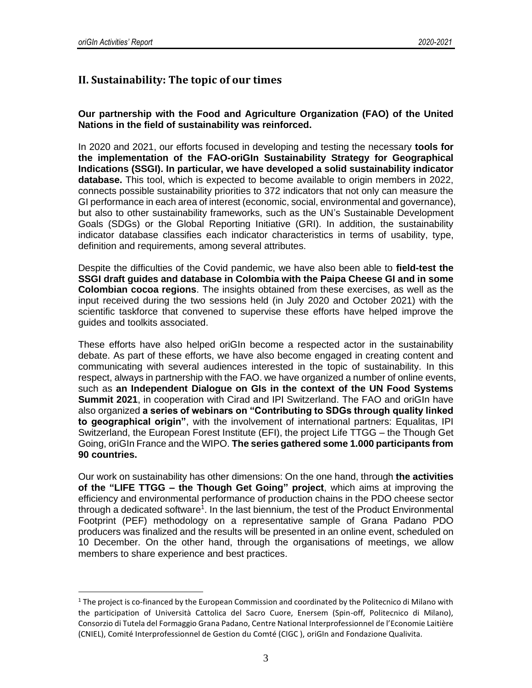# **II. Sustainability: The topic of our times**

**Our partnership with the Food and Agriculture Organization (FAO) of the United Nations in the field of sustainability was reinforced.** 

In 2020 and 2021, our efforts focused in developing and testing the necessary **tools for the implementation of the FAO-oriGIn Sustainability Strategy for Geographical Indications (SSGI). In particular, we have developed a solid sustainability indicator database.** This tool, which is expected to become available to origin members in 2022, connects possible sustainability priorities to 372 indicators that not only can measure the GI performance in each area of interest (economic, social, environmental and governance), but also to other sustainability frameworks, such as the UN's Sustainable Development Goals (SDGs) or the Global Reporting Initiative (GRI). In addition, the sustainability indicator database classifies each indicator characteristics in terms of usability, type, definition and requirements, among several attributes.

Despite the difficulties of the Covid pandemic, we have also been able to **field-test the SSGI draft guides and database in Colombia with the Paipa Cheese GI and in some Colombian cocoa regions**. The insights obtained from these exercises, as well as the input received during the two sessions held (in July 2020 and October 2021) with the scientific taskforce that convened to supervise these efforts have helped improve the guides and toolkits associated.

These efforts have also helped oriGIn become a respected actor in the sustainability debate. As part of these efforts, we have also become engaged in creating content and communicating with several audiences interested in the topic of sustainability. In this respect, always in partnership with the FAO. we have organized a number of online events, such as **an Independent Dialogue on GIs in the context of the UN Food Systems Summit 2021**, in cooperation with Cirad and IPI Switzerland. The FAO and oriGIn have also organized **a series of webinars on "Contributing to SDGs through quality linked to geographical origin"**, with the involvement of international partners: Equalitas, IPI Switzerland, the European Forest Institute (EFI), the project Life TTGG – the Though Get Going, oriGIn France and the WIPO. **The series gathered some 1.000 participants from 90 countries.**

Our work on sustainability has other dimensions: On the one hand, through **the activities of the "LIFE TTGG – the Though Get Going" project**, which aims at improving the efficiency and environmental performance of production chains in the PDO cheese sector through a dedicated software<sup>1</sup>. In the last biennium, the test of the Product Environmental Footprint (PEF) methodology on a representative sample of Grana Padano PDO producers was finalized and the results will be presented in an online event, scheduled on 10 December. On the other hand, through the organisations of meetings, we allow members to share experience and best practices.

 $1$  The project is co-financed by the European Commission and coordinated by the Politecnico di Milano with the participation of Università Cattolica del Sacro Cuore, Enersem (Spin-off, Politecnico di Milano), Consorzio di Tutela del Formaggio Grana Padano, Centre National Interprofessionnel de l'Economie Laitière (CNIEL), Comité Interprofessionnel de Gestion du Comté (CIGC ), oriGIn and Fondazione Qualivita.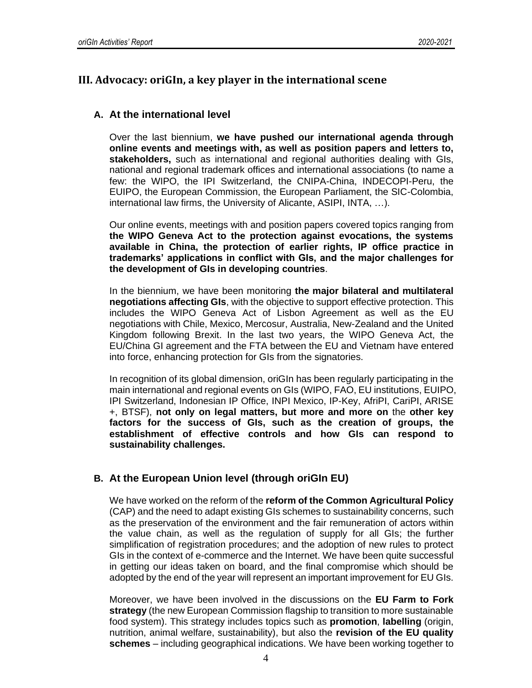## **III. Advocacy: oriGIn, a key player in the international scene**

#### **A. At the international level**

Over the last biennium, **we have pushed our international agenda through online events and meetings with, as well as position papers and letters to, stakeholders,** such as international and regional authorities dealing with GIs, national and regional trademark offices and international associations (to name a few: the WIPO, the IPI Switzerland, the CNIPA-China, INDECOPI-Peru, the EUIPO, the European Commission, the European Parliament, the SIC-Colombia, international law firms, the University of Alicante, ASIPI, INTA, …).

Our online events, meetings with and position papers covered topics ranging from **the WIPO Geneva Act to the protection against evocations, the systems available in China, the protection of earlier rights, IP office practice in trademarks' applications in conflict with GIs, and the major challenges for the development of GIs in developing countries**.

In the biennium, we have been monitoring **the major bilateral and multilateral negotiations affecting GIs**, with the objective to support effective protection. This includes the WIPO Geneva Act of Lisbon Agreement as well as the EU negotiations with Chile, Mexico, Mercosur, Australia, New-Zealand and the United Kingdom following Brexit. In the last two years, the WIPO Geneva Act, the EU/China GI agreement and the FTA between the EU and Vietnam have entered into force, enhancing protection for GIs from the signatories.

In recognition of its global dimension, oriGIn has been regularly participating in the main international and regional events on GIs (WIPO, FAO, EU institutions, EUIPO, IPI Switzerland, Indonesian IP Office, INPI Mexico, IP-Key, AfriPI, CariPI, ARISE +, BTSF), **not only on legal matters, but more and more on** the **other key factors for the success of GIs, such as the creation of groups, the establishment of effective controls and how GIs can respond to sustainability challenges.**

#### **B. At the European Union level (through oriGIn EU)**

We have worked on the reform of the **reform of the Common Agricultural Policy** (CAP) and the need to adapt existing GIs schemes to sustainability concerns, such as the preservation of the environment and the fair remuneration of actors within the value chain, as well as the regulation of supply for all GIs; the further simplification of registration procedures; and the adoption of new rules to protect GIs in the context of e-commerce and the Internet. We have been quite successful in getting our ideas taken on board, and the final compromise which should be adopted by the end of the year will represent an important improvement for EU GIs.

Moreover, we have been involved in the discussions on the **EU Farm to Fork strategy** (the new European Commission flagship to transition to more sustainable food system). This strategy includes topics such as **promotion**, **labelling** (origin, nutrition, animal welfare, sustainability), but also the **revision of the EU quality schemes** – including geographical indications. We have been working together to